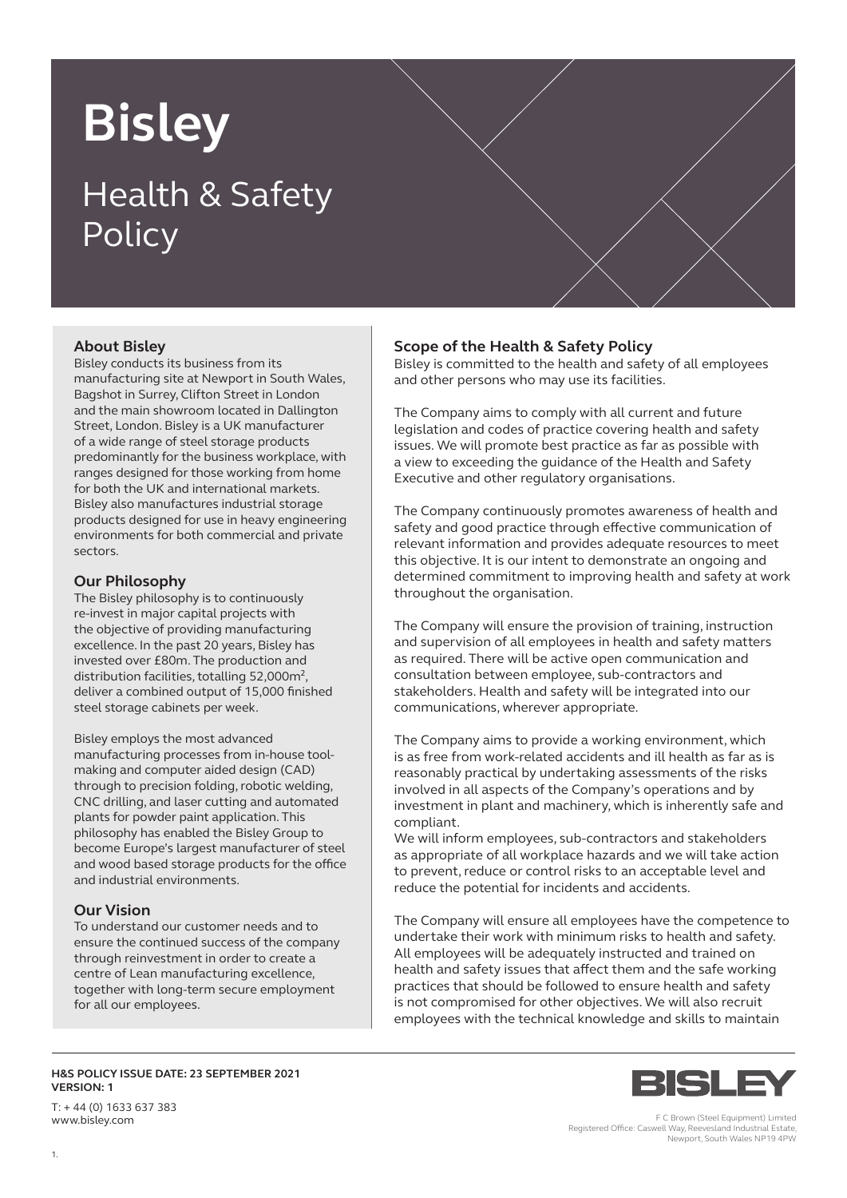# **Bisley** Health & Safety **Policy**

## **About Bisley**

Bisley conducts its business from its manufacturing site at Newport in South Wales, Bagshot in Surrey, Clifton Street in London and the main showroom located in Dallington Street, London. Bisley is a UK manufacturer of a wide range of steel storage products predominantly for the business workplace, with ranges designed for those working from home for both the UK and international markets. Bisley also manufactures industrial storage products designed for use in heavy engineering environments for both commercial and private sectors.

#### **Our Philosophy**

The Bisley philosophy is to continuously re-invest in major capital projects with the objective of providing manufacturing excellence. In the past 20 years, Bisley has invested over £80m. The production and distribution facilities, totalling 52,000m², deliver a combined output of 15,000 finished steel storage cabinets per week.

Bisley employs the most advanced manufacturing processes from in-house toolmaking and computer aided design (CAD) through to precision folding, robotic welding, CNC drilling, and laser cutting and automated plants for powder paint application. This philosophy has enabled the Bisley Group to become Europe's largest manufacturer of steel and wood based storage products for the office and industrial environments.

### **Our Vision**

To understand our customer needs and to ensure the continued success of the company through reinvestment in order to create a centre of Lean manufacturing excellence, together with long-term secure employment for all our employees.

## **Scope of the Health & Safety Policy**

Bisley is committed to the health and safety of all employees and other persons who may use its facilities.

The Company aims to comply with all current and future legislation and codes of practice covering health and safety issues. We will promote best practice as far as possible with a view to exceeding the guidance of the Health and Safety Executive and other regulatory organisations.

The Company continuously promotes awareness of health and safety and good practice through effective communication of relevant information and provides adequate resources to meet this objective. It is our intent to demonstrate an ongoing and determined commitment to improving health and safety at work throughout the organisation.

The Company will ensure the provision of training, instruction and supervision of all employees in health and safety matters as required. There will be active open communication and consultation between employee, sub-contractors and stakeholders. Health and safety will be integrated into our communications, wherever appropriate.

The Company aims to provide a working environment, which is as free from work-related accidents and ill health as far as is reasonably practical by undertaking assessments of the risks involved in all aspects of the Company's operations and by investment in plant and machinery, which is inherently safe and compliant.

We will inform employees, sub-contractors and stakeholders as appropriate of all workplace hazards and we will take action to prevent, reduce or control risks to an acceptable level and reduce the potential for incidents and accidents.

The Company will ensure all employees have the competence to undertake their work with minimum risks to health and safety. All employees will be adequately instructed and trained on health and safety issues that affect them and the safe working practices that should be followed to ensure health and safety is not compromised for other objectives. We will also recruit employees with the technical knowledge and skills to maintain

**H&S POLICY ISSUE DATE: 23 SEPTEMBER 2021 VERSION: 1**

T: + 44 (0) 1633 637 383